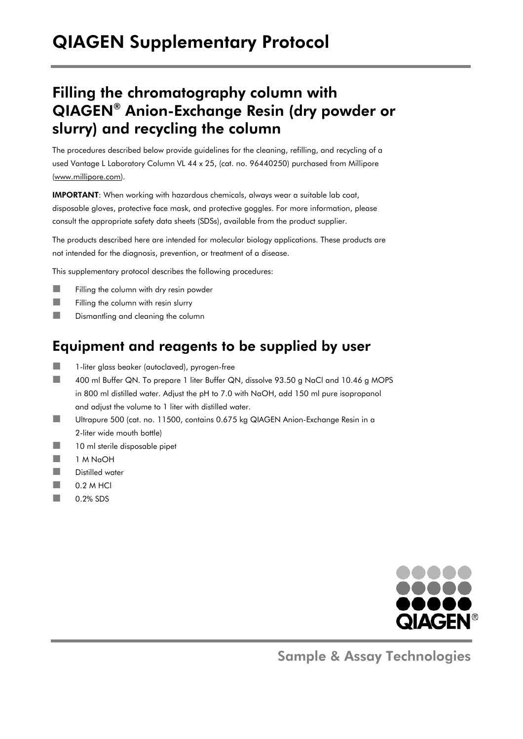# QIAGEN Supplementary Protocol

### Filling the chromatography column with QIAGEN® Anion-Exchange Resin (dry powder or slurry) and recycling the column

The procedures described below provide guidelines for the cleaning, refilling, and recycling of a used Vantage L Laboratory Column VL 44 x 25, (cat. no. 96440250) purchased from Millipore (www.millipore.com).

IMPORTANT: When working with hazardous chemicals, always wear a suitable lab coat, disposable gloves, protective face mask, and protective goggles. For more information, please consult the appropriate safety data sheets (SDSs), available from the product supplier.

The products described here are intended for molecular biology applications. These products are not intended for the diagnosis, prevention, or treatment of a disease.

This supplementary protocol describes the following procedures:

- $\blacksquare$  Filling the column with dry resin powder
- $\Box$  Filling the column with resin slurry
- **Dismantling and cleaning the column**

### Equipment and reagents to be supplied by user

- 1-liter glass beaker (autoclaved), pyrogen-free
- 400 ml Buffer QN. To prepare 1 liter Buffer QN, dissolve 93.50 g NaCl and 10.46 g MOPS in 800 ml distilled water. Adjust the pH to 7.0 with NaOH, add 150 ml pure isopropanol and adjust the volume to 1 liter with distilled water.
- Ultrapure 500 (cat. no. 11500, contains 0.675 kg QIAGEN Anion-Exchange Resin in a 2-liter wide mouth bottle)
- 10 ml sterile disposable pipet
- $1 M N<sub>a</sub>OH$
- **Distilled water**
- $\Box$  0.2 M HCl
- $\Box$  0.2% SDS



Sample & Assay Technologies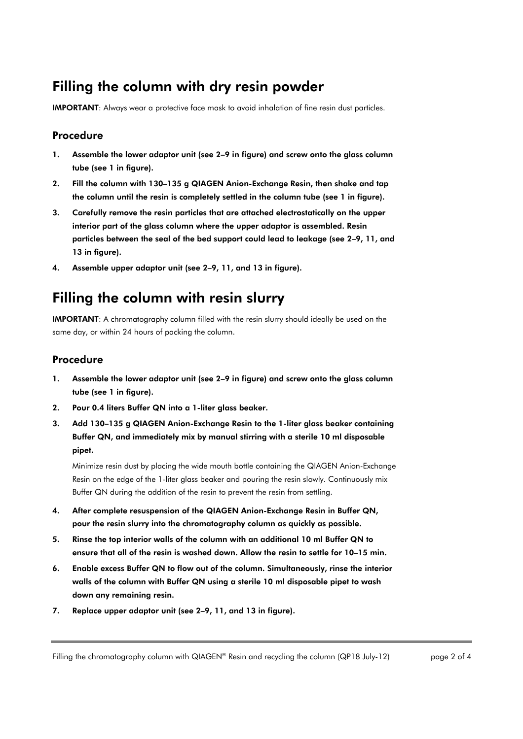### Filling the column with dry resin powder

IMPORTANT: Always wear a protective face mask to avoid inhalation of fine resin dust particles.

#### Procedure

- 1. Assemble the lower adaptor unit (see 2–9 in figure) and screw onto the glass column tube (see 1 in figure).
- 2. Fill the column with 130–135 g QIAGEN Anion-Exchange Resin, then shake and tap the column until the resin is completely settled in the column tube (see 1 in figure).
- 3. Carefully remove the resin particles that are attached electrostatically on the upper interior part of the glass column where the upper adaptor is assembled. Resin particles between the seal of the bed support could lead to leakage (see 2–9, 11, and 13 in figure).
- 4. Assemble upper adaptor unit (see 2–9, 11, and 13 in figure).

### Filling the column with resin slurry

IMPORTANT: A chromatography column filled with the resin slurry should ideally be used on the same day, or within 24 hours of packing the column.

#### Procedure

- 1. Assemble the lower adaptor unit (see 2–9 in figure) and screw onto the glass column tube (see 1 in figure).
- 2. Pour 0.4 liters Buffer QN into a 1-liter glass beaker.
- 3. Add 130–135 g QIAGEN Anion-Exchange Resin to the 1-liter glass beaker containing Buffer QN, and immediately mix by manual stirring with a sterile 10 ml disposable pipet.

Minimize resin dust by placing the wide mouth bottle containing the QIAGEN Anion-Exchange Resin on the edge of the 1-liter glass beaker and pouring the resin slowly. Continuously mix Buffer QN during the addition of the resin to prevent the resin from settling.

- 4. After complete resuspension of the QIAGEN Anion-Exchange Resin in Buffer QN, pour the resin slurry into the chromatography column as quickly as possible.
- 5. Rinse the top interior walls of the column with an additional 10 ml Buffer QN to ensure that all of the resin is washed down. Allow the resin to settle for 10–15 min.
- 6. Enable excess Buffer QN to flow out of the column. Simultaneously, rinse the interior walls of the column with Buffer QN using a sterile 10 ml disposable pipet to wash down any remaining resin.
- 7. Replace upper adaptor unit (see 2–9, 11, and 13 in figure).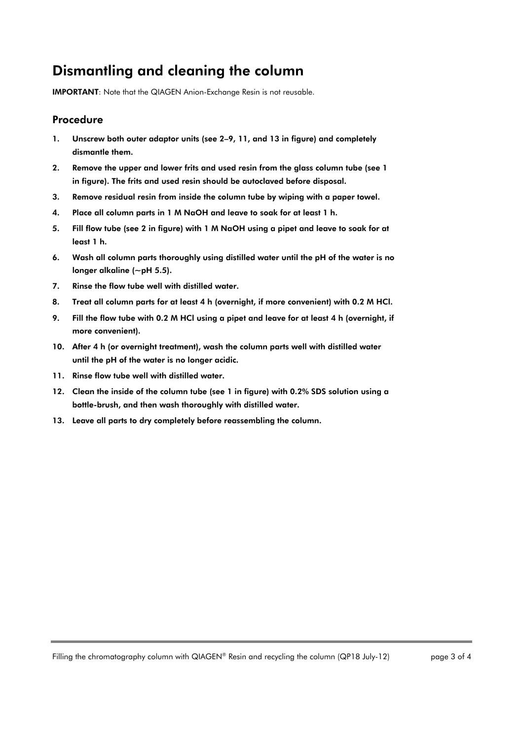## Dismantling and cleaning the column

IMPORTANT: Note that the QIAGEN Anion-Exchange Resin is not reusable.

#### Procedure

- 1. Unscrew both outer adaptor units (see 2–9, 11, and 13 in figure) and completely dismantle them.
- 2. Remove the upper and lower frits and used resin from the glass column tube (see 1 in figure). The frits and used resin should be autoclaved before disposal.
- 3. Remove residual resin from inside the column tube by wiping with a paper towel.
- 4. Place all column parts in 1 M NaOH and leave to soak for at least 1 h.
- 5. Fill flow tube (see 2 in figure) with 1 M NaOH using a pipet and leave to soak for at least 1 h.
- 6. Wash all column parts thoroughly using distilled water until the pH of the water is no longer alkaline (~pH 5.5).
- 7. Rinse the flow tube well with distilled water.
- 8. Treat all column parts for at least 4 h (overnight, if more convenient) with 0.2 M HCl.
- 9. Fill the flow tube with 0.2 M HCl using a pipet and leave for at least 4 h (overnight, if more convenient).
- 10. After 4 h (or overnight treatment), wash the column parts well with distilled water until the pH of the water is no longer acidic.
- 11. Rinse flow tube well with distilled water.
- 12. Clean the inside of the column tube (see 1 in figure) with 0.2% SDS solution using a bottle-brush, and then wash thoroughly with distilled water.
- 13. Leave all parts to dry completely before reassembling the column.